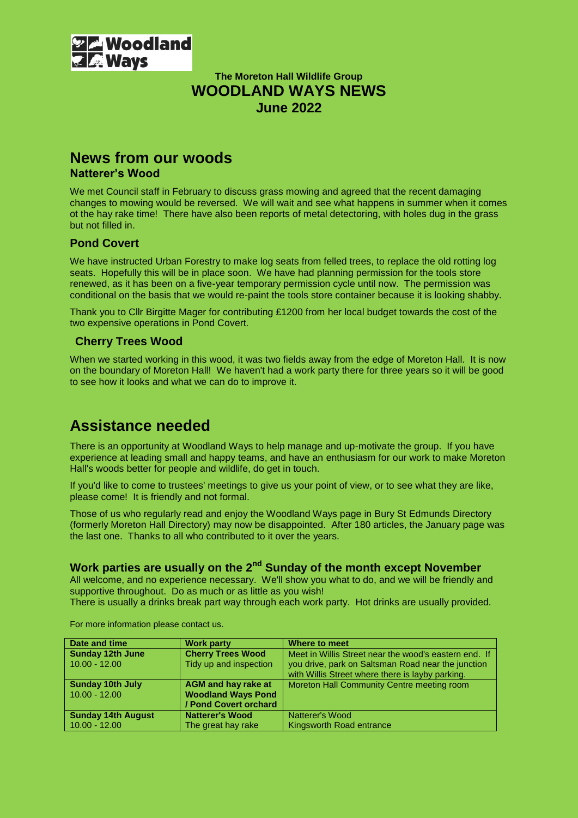

## **The Moreton Hall Wildlife Group WOODLAND WAYS NEWS June 2022**

### **News from our woods Natterer's Wood**

We met Council staff in February to discuss grass mowing and agreed that the recent damaging changes to mowing would be reversed. We will wait and see what happens in summer when it comes ot the hay rake time! There have also been reports of metal detectoring, with holes dug in the grass but not filled in.

#### **Pond Covert**

We have instructed Urban Forestry to make log seats from felled trees, to replace the old rotting log seats. Hopefully this will be in place soon. We have had planning permission for the tools store renewed, as it has been on a five-year temporary permission cycle until now. The permission was conditional on the basis that we would re-paint the tools store container because it is looking shabby.

Thank you to Cllr Birgitte Mager for contributing £1200 from her local budget towards the cost of the two expensive operations in Pond Covert.

### **Cherry Trees Wood**

When we started working in this wood, it was two fields away from the edge of Moreton Hall. It is now on the boundary of Moreton Hall! We haven't had a work party there for three years so it will be good to see how it looks and what we can do to improve it.

# **Assistance needed**

There is an opportunity at Woodland Ways to help manage and up-motivate the group. If you have experience at leading small and happy teams, and have an enthusiasm for our work to make Moreton Hall's woods better for people and wildlife, do get in touch.

If you'd like to come to trustees' meetings to give us your point of view, or to see what they are like, please come! It is friendly and not formal.

Those of us who regularly read and enjoy the Woodland Ways page in Bury St Edmunds Directory (formerly Moreton Hall Directory) may now be disappointed. After 180 articles, the January page was the last one. Thanks to all who contributed to it over the years.

# **Work parties are usually on the 2nd Sunday of the month except November**

All welcome, and no experience necessary. We'll show you what to do, and we will be friendly and supportive throughout. Do as much or as little as you wish!

There is usually a drinks break part way through each work party. Hot drinks are usually provided.

| Date and time             | <b>Work party</b>          | Where to meet                                         |
|---------------------------|----------------------------|-------------------------------------------------------|
| <b>Sunday 12th June</b>   | <b>Cherry Trees Wood</b>   | Meet in Willis Street near the wood's eastern end. If |
| $10.00 - 12.00$           | Tidy up and inspection     | you drive, park on Saltsman Road near the junction    |
|                           |                            | with Willis Street where there is layby parking.      |
| <b>Sunday 10th July</b>   | <b>AGM and hay rake at</b> | Moreton Hall Community Centre meeting room            |
| $10.00 - 12.00$           | <b>Woodland Ways Pond</b>  |                                                       |
|                           | / Pond Covert orchard      |                                                       |
| <b>Sunday 14th August</b> | <b>Natterer's Wood</b>     | Natterer's Wood                                       |
| $10.00 - 12.00$           | The great hay rake         | Kingsworth Road entrance                              |

For more information please contact us.